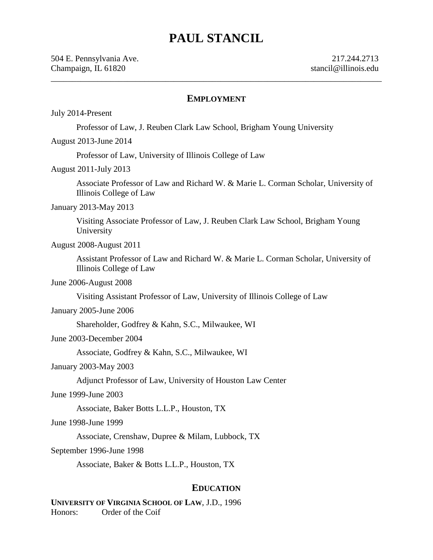# **PAUL STANCIL**

#### **EMPLOYMENT**

\_\_\_\_\_\_\_\_\_\_\_\_\_\_\_\_\_\_\_\_\_\_\_\_\_\_\_\_\_\_\_\_\_\_\_\_\_\_\_\_\_\_\_\_\_\_\_\_\_\_\_\_\_\_\_\_\_\_\_\_\_\_\_\_\_\_\_\_\_\_\_\_\_\_\_\_\_\_

July 2014-Present

Professor of Law, J. Reuben Clark Law School, Brigham Young University

August 2013-June 2014

Professor of Law, University of Illinois College of Law

August 2011-July 2013

Associate Professor of Law and Richard W. & Marie L. Corman Scholar, University of Illinois College of Law

#### January 2013-May 2013

Visiting Associate Professor of Law, J. Reuben Clark Law School, Brigham Young University

August 2008-August 2011

Assistant Professor of Law and Richard W. & Marie L. Corman Scholar, University of Illinois College of Law

June 2006-August 2008

Visiting Assistant Professor of Law, University of Illinois College of Law

January 2005-June 2006

Shareholder, Godfrey & Kahn, S.C., Milwaukee, WI

June 2003-December 2004

Associate, Godfrey & Kahn, S.C., Milwaukee, WI

January 2003-May 2003

Adjunct Professor of Law, University of Houston Law Center

June 1999-June 2003

Associate, Baker Botts L.L.P., Houston, TX

June 1998-June 1999

Associate, Crenshaw, Dupree & Milam, Lubbock, TX

September 1996-June 1998

Associate, Baker & Botts L.L.P., Houston, TX

#### **EDUCATION**

**UNIVERSITY OF VIRGINIA SCHOOL OF LAW**, J.D., 1996 Honors: Order of the Coif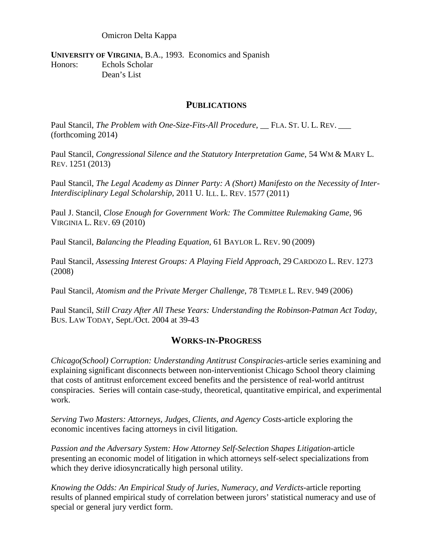Omicron Delta Kappa

**UNIVERSITY OF VIRGINIA**, B.A., 1993. Economics and Spanish Honors: Echols Scholar Dean's List

### **PUBLICATIONS**

Paul Stancil, *The Problem with One-Size-Fits-All Procedure*, FLA. ST. U. L. REV. (forthcoming 2014)

Paul Stancil, *Congressional Silence and the Statutory Interpretation Game*, 54 WM & MARY L. REV. 1251 (2013)

Paul Stancil, *The Legal Academy as Dinner Party: A (Short) Manifesto on the Necessity of Inter-Interdisciplinary Legal Scholarship*, 2011 U. ILL. L. REV. 1577 (2011)

Paul J. Stancil, *Close Enough for Government Work: The Committee Rulemaking Game*, 96 VIRGINIA L. REV. 69 (2010)

Paul Stancil, *Balancing the Pleading Equation,* 61 BAYLOR L. REV. 90 (2009)

Paul Stancil, *Assessing Interest Groups: A Playing Field Approach*, 29 CARDOZO L. REV. 1273 (2008)

Paul Stancil, *Atomism and the Private Merger Challenge*, 78 TEMPLE L. REV. 949 (2006)

Paul Stancil, *Still Crazy After All These Years: Understanding the Robinson-Patman Act Today,*  BUS. LAW TODAY, Sept./Oct. 2004 at 39-43

## **WORKS-IN-PROGRESS**

*Chicago(School) Corruption: Understanding Antitrust Conspiracies*-article series examining and explaining significant disconnects between non-interventionist Chicago School theory claiming that costs of antitrust enforcement exceed benefits and the persistence of real-world antitrust conspiracies. Series will contain case-study, theoretical, quantitative empirical, and experimental work.

*Serving Two Masters: Attorneys, Judges, Clients, and Agency Costs*-article exploring the economic incentives facing attorneys in civil litigation.

*Passion and the Adversary System: How Attorney Self-Selection Shapes Litigation*-article presenting an economic model of litigation in which attorneys self-select specializations from which they derive idiosyncratically high personal utility.

*Knowing the Odds: An Empirical Study of Juries, Numeracy, and Verdicts*-article reporting results of planned empirical study of correlation between jurors' statistical numeracy and use of special or general jury verdict form.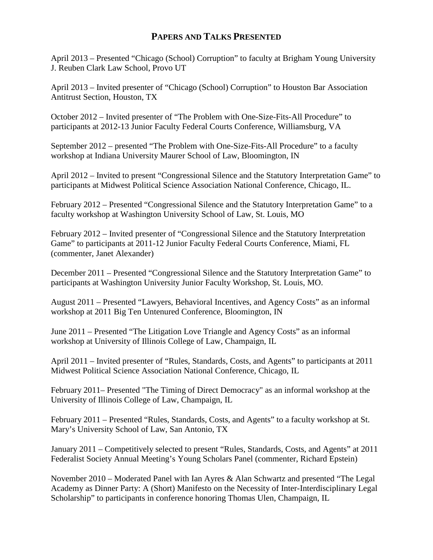# **PAPERS AND TALKS PRESENTED**

April 2013 – Presented "Chicago (School) Corruption" to faculty at Brigham Young University J. Reuben Clark Law School, Provo UT

April 2013 – Invited presenter of "Chicago (School) Corruption" to Houston Bar Association Antitrust Section, Houston, TX

October 2012 – Invited presenter of "The Problem with One-Size-Fits-All Procedure" to participants at 2012-13 Junior Faculty Federal Courts Conference, Williamsburg, VA

September 2012 – presented "The Problem with One-Size-Fits-All Procedure" to a faculty workshop at Indiana University Maurer School of Law, Bloomington, IN

April 2012 – Invited to present "Congressional Silence and the Statutory Interpretation Game" to participants at Midwest Political Science Association National Conference, Chicago, IL.

February 2012 – Presented "Congressional Silence and the Statutory Interpretation Game" to a faculty workshop at Washington University School of Law, St. Louis, MO

February 2012 – Invited presenter of "Congressional Silence and the Statutory Interpretation Game" to participants at 2011-12 Junior Faculty Federal Courts Conference, Miami, FL (commenter, Janet Alexander)

December 2011 – Presented "Congressional Silence and the Statutory Interpretation Game" to participants at Washington University Junior Faculty Workshop, St. Louis, MO.

August 2011 – Presented "Lawyers, Behavioral Incentives, and Agency Costs" as an informal workshop at 2011 Big Ten Untenured Conference, Bloomington, IN

June 2011 – Presented "The Litigation Love Triangle and Agency Costs" as an informal workshop at University of Illinois College of Law, Champaign, IL

April 2011 – Invited presenter of "Rules, Standards, Costs, and Agents" to participants at 2011 Midwest Political Science Association National Conference, Chicago, IL

February 2011– Presented "The Timing of Direct Democracy" as an informal workshop at the University of Illinois College of Law, Champaign, IL

February 2011 – Presented "Rules, Standards, Costs, and Agents" to a faculty workshop at St. Mary's University School of Law, San Antonio, TX

January 2011 – Competitively selected to present "Rules, Standards, Costs, and Agents" at 2011 Federalist Society Annual Meeting's Young Scholars Panel (commenter, Richard Epstein)

November 2010 – Moderated Panel with Ian Ayres & Alan Schwartz and presented "The Legal Academy as Dinner Party: A (Short) Manifesto on the Necessity of Inter-Interdisciplinary Legal Scholarship" to participants in conference honoring Thomas Ulen, Champaign, IL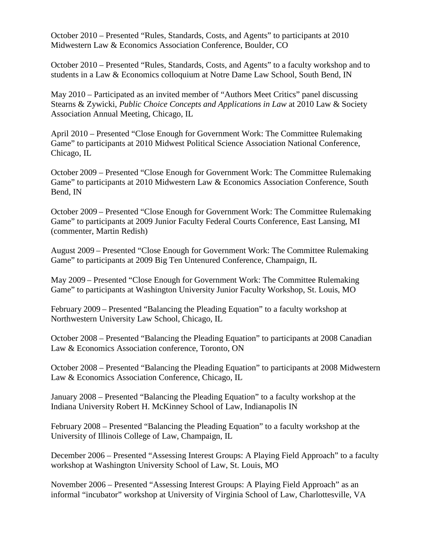October 2010 – Presented "Rules, Standards, Costs, and Agents" to participants at 2010 Midwestern Law & Economics Association Conference, Boulder, CO

October 2010 – Presented "Rules, Standards, Costs, and Agents" to a faculty workshop and to students in a Law & Economics colloquium at Notre Dame Law School, South Bend, IN

May 2010 – Participated as an invited member of "Authors Meet Critics" panel discussing Stearns & Zywicki, *Public Choice Concepts and Applications in Law* at 2010 Law & Society Association Annual Meeting, Chicago, IL

April 2010 – Presented "Close Enough for Government Work: The Committee Rulemaking Game" to participants at 2010 Midwest Political Science Association National Conference, Chicago, IL

October 2009 – Presented "Close Enough for Government Work: The Committee Rulemaking Game" to participants at 2010 Midwestern Law & Economics Association Conference, South Bend, IN

October 2009 – Presented "Close Enough for Government Work: The Committee Rulemaking Game" to participants at 2009 Junior Faculty Federal Courts Conference, East Lansing, MI (commenter, Martin Redish)

August 2009 – Presented "Close Enough for Government Work: The Committee Rulemaking Game" to participants at 2009 Big Ten Untenured Conference, Champaign, IL

May 2009 – Presented "Close Enough for Government Work: The Committee Rulemaking Game" to participants at Washington University Junior Faculty Workshop, St. Louis, MO

February 2009 – Presented "Balancing the Pleading Equation" to a faculty workshop at Northwestern University Law School, Chicago, IL

October 2008 – Presented "Balancing the Pleading Equation" to participants at 2008 Canadian Law & Economics Association conference, Toronto, ON

October 2008 – Presented "Balancing the Pleading Equation" to participants at 2008 Midwestern Law & Economics Association Conference, Chicago, IL

January 2008 – Presented "Balancing the Pleading Equation" to a faculty workshop at the Indiana University Robert H. McKinney School of Law, Indianapolis IN

February 2008 – Presented "Balancing the Pleading Equation" to a faculty workshop at the University of Illinois College of Law, Champaign, IL

December 2006 – Presented "Assessing Interest Groups: A Playing Field Approach" to a faculty workshop at Washington University School of Law, St. Louis, MO

November 2006 – Presented "Assessing Interest Groups: A Playing Field Approach" as an informal "incubator" workshop at University of Virginia School of Law, Charlottesville, VA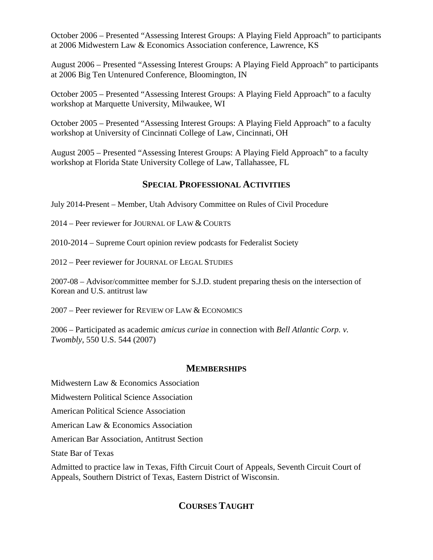October 2006 – Presented "Assessing Interest Groups: A Playing Field Approach" to participants at 2006 Midwestern Law & Economics Association conference, Lawrence, KS

August 2006 – Presented "Assessing Interest Groups: A Playing Field Approach" to participants at 2006 Big Ten Untenured Conference, Bloomington, IN

October 2005 – Presented "Assessing Interest Groups: A Playing Field Approach" to a faculty workshop at Marquette University, Milwaukee, WI

October 2005 – Presented "Assessing Interest Groups: A Playing Field Approach" to a faculty workshop at University of Cincinnati College of Law, Cincinnati, OH

August 2005 – Presented "Assessing Interest Groups: A Playing Field Approach" to a faculty workshop at Florida State University College of Law, Tallahassee, FL

# **SPECIAL PROFESSIONAL ACTIVITIES**

July 2014-Present – Member, Utah Advisory Committee on Rules of Civil Procedure

 $2014$  – Peer reviewer for JOURNAL OF LAW & COURTS

2010-2014 – Supreme Court opinion review podcasts for Federalist Society

2012 – Peer reviewer for JOURNAL OF LEGAL STUDIES

2007-08 – Advisor/committee member for S.J.D. student preparing thesis on the intersection of Korean and U.S. antitrust law

2007 – Peer reviewer for REVIEW OF LAW & ECONOMICS

2006 – Participated as academic *amicus curiae* in connection with *Bell Atlantic Corp. v. Twombly*, 550 U.S. 544 (2007)

# **MEMBERSHIPS**

Midwestern Law & Economics Association

Midwestern Political Science Association

American Political Science Association

American Law & Economics Association

American Bar Association, Antitrust Section

State Bar of Texas

Admitted to practice law in Texas, Fifth Circuit Court of Appeals, Seventh Circuit Court of Appeals, Southern District of Texas, Eastern District of Wisconsin.

# **COURSES TAUGHT**